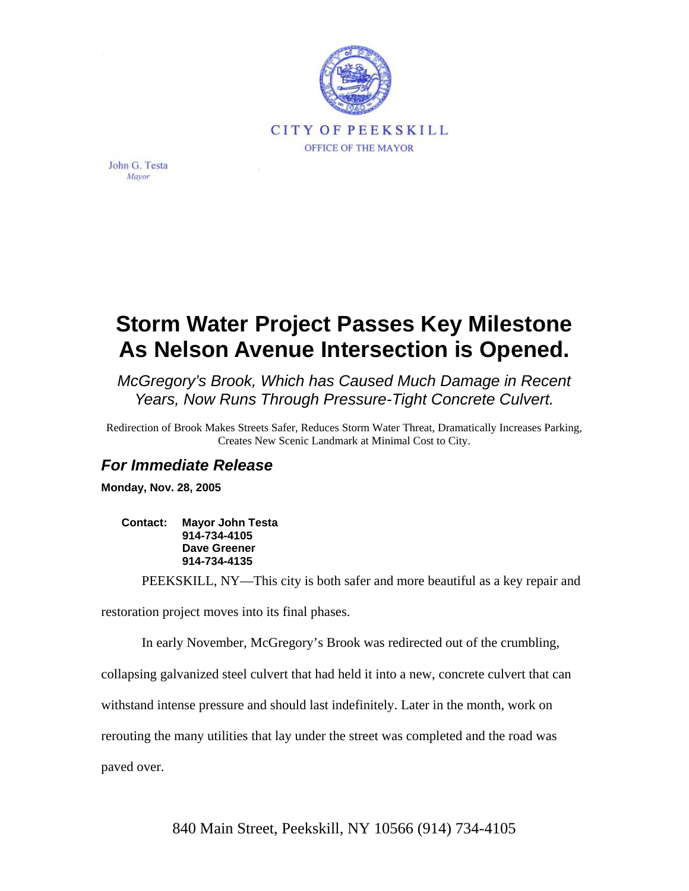

John G. Testa Mayor

## **Storm Water Project Passes Key Milestone As Nelson Avenue Intersection is Opened.**

*McGregory's Brook, Which has Caused Much Damage in Recent Years, Now Runs Through Pressure-Tight Concrete Culvert.* 

Redirection of Brook Makes Streets Safer, Reduces Storm Water Threat, Dramatically Increases Parking, Creates New Scenic Landmark at Minimal Cost to City.

## *For Immediate Release*

**Monday, Nov. 28, 2005** 

**Contact: Mayor John Testa 914-734-4105 Dave Greener 914-734-4135** 

PEEKSKILL, NY—This city is both safer and more beautiful as a key repair and

restoration project moves into its final phases.

In early November, McGregory's Brook was redirected out of the crumbling,

collapsing galvanized steel culvert that had held it into a new, concrete culvert that can

withstand intense pressure and should last indefinitely. Later in the month, work on

rerouting the many utilities that lay under the street was completed and the road was

paved over.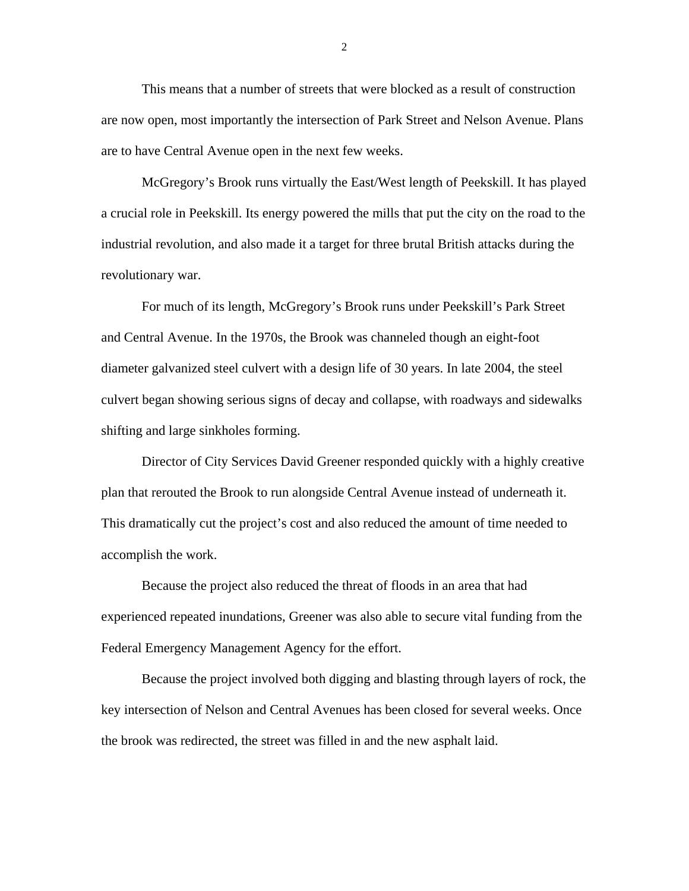This means that a number of streets that were blocked as a result of construction are now open, most importantly the intersection of Park Street and Nelson Avenue. Plans are to have Central Avenue open in the next few weeks.

McGregory's Brook runs virtually the East/West length of Peekskill. It has played a crucial role in Peekskill. Its energy powered the mills that put the city on the road to the industrial revolution, and also made it a target for three brutal British attacks during the revolutionary war.

For much of its length, McGregory's Brook runs under Peekskill's Park Street and Central Avenue. In the 1970s, the Brook was channeled though an eight-foot diameter galvanized steel culvert with a design life of 30 years. In late 2004, the steel culvert began showing serious signs of decay and collapse, with roadways and sidewalks shifting and large sinkholes forming.

Director of City Services David Greener responded quickly with a highly creative plan that rerouted the Brook to run alongside Central Avenue instead of underneath it. This dramatically cut the project's cost and also reduced the amount of time needed to accomplish the work.

Because the project also reduced the threat of floods in an area that had experienced repeated inundations, Greener was also able to secure vital funding from the Federal Emergency Management Agency for the effort.

Because the project involved both digging and blasting through layers of rock, the key intersection of Nelson and Central Avenues has been closed for several weeks. Once the brook was redirected, the street was filled in and the new asphalt laid.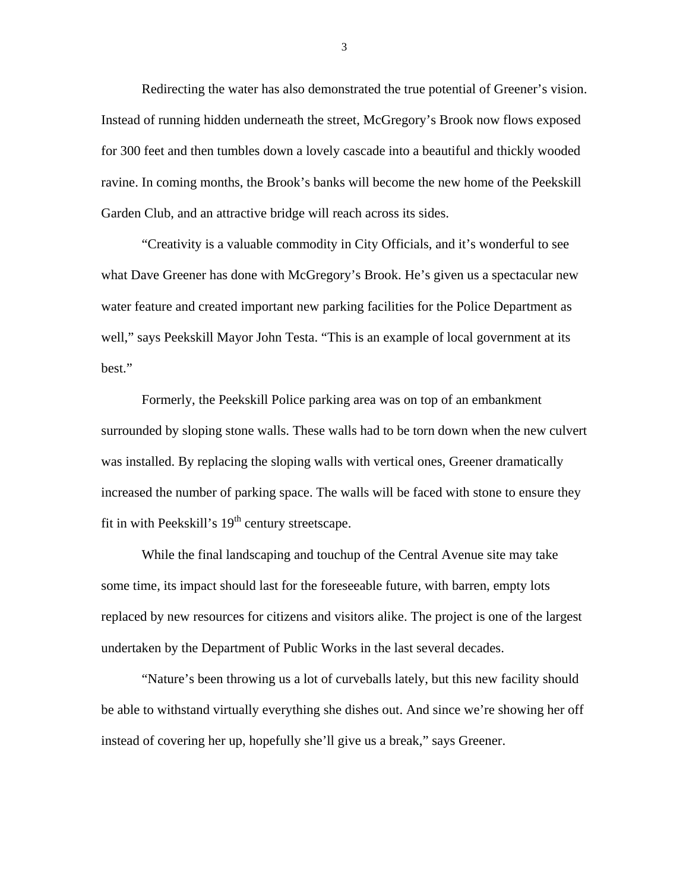Redirecting the water has also demonstrated the true potential of Greener's vision. Instead of running hidden underneath the street, McGregory's Brook now flows exposed for 300 feet and then tumbles down a lovely cascade into a beautiful and thickly wooded ravine. In coming months, the Brook's banks will become the new home of the Peekskill Garden Club, and an attractive bridge will reach across its sides.

"Creativity is a valuable commodity in City Officials, and it's wonderful to see what Dave Greener has done with McGregory's Brook. He's given us a spectacular new water feature and created important new parking facilities for the Police Department as well," says Peekskill Mayor John Testa. "This is an example of local government at its best."

Formerly, the Peekskill Police parking area was on top of an embankment surrounded by sloping stone walls. These walls had to be torn down when the new culvert was installed. By replacing the sloping walls with vertical ones, Greener dramatically increased the number of parking space. The walls will be faced with stone to ensure they fit in with Peekskill's  $19<sup>th</sup>$  century streetscape.

While the final landscaping and touchup of the Central Avenue site may take some time, its impact should last for the foreseeable future, with barren, empty lots replaced by new resources for citizens and visitors alike. The project is one of the largest undertaken by the Department of Public Works in the last several decades.

"Nature's been throwing us a lot of curveballs lately, but this new facility should be able to withstand virtually everything she dishes out. And since we're showing her off instead of covering her up, hopefully she'll give us a break," says Greener.